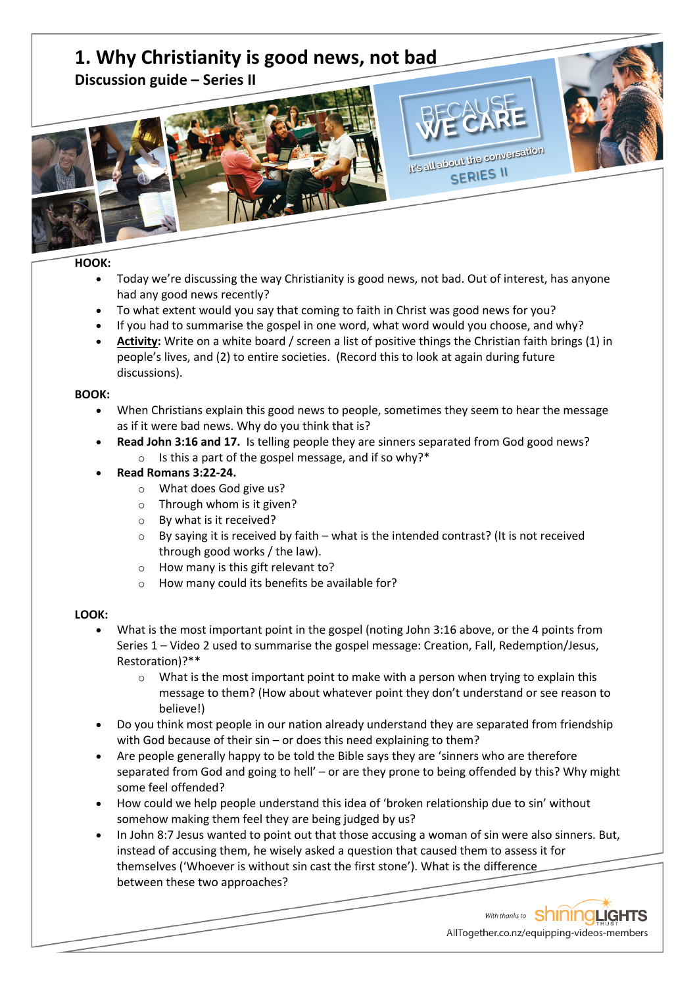# **1. Why Christianity is good news, not bad**

**Discussion guide – Series II**



**HOOK:** 

• Today we're discussing the way Christianity is good news, not bad. Out of interest, has anyone had any good news recently?

It's all about the conversation SERIES II

- To what extent would you say that coming to faith in Christ was good news for you?
- If you had to summarise the gospel in one word, what word would you choose, and why?
- **Activity:** Write on a white board / screen a list of positive things the Christian faith brings (1) in people's lives, and (2) to entire societies. (Record this to look at again during future discussions).

## **BOOK:**

- When Christians explain this good news to people, sometimes they seem to hear the message as if it were bad news. Why do you think that is?
- **Read John 3:16 and 17.** Is telling people they are sinners separated from God good news?
	- o Is this a part of the gospel message, and if so why?\*
- **Read Romans 3:22-24.**
	- o What does God give us?
	- o Through whom is it given?
	- o By what is it received?
	- $\circ$  By saying it is received by faith what is the intended contrast? (It is not received through good works / the law).
	- o How many is this gift relevant to?
	- o How many could its benefits be available for?

## **LOOK:**

- What is the most important point in the gospel (noting John 3:16 above, or the 4 points from Series 1 – Video 2 used to summarise the gospel message: Creation, Fall, Redemption/Jesus, Restoration)?\*\*
	- $\circ$  What is the most important point to make with a person when trying to explain this message to them? (How about whatever point they don't understand or see reason to believe!)
- Do you think most people in our nation already understand they are separated from friendship with God because of their sin – or does this need explaining to them?
- Are people generally happy to be told the Bible says they are 'sinners who are therefore separated from God and going to hell' – or are they prone to being offended by this? Why might some feel offended?
- How could we help people understand this idea of 'broken relationship due to sin' without somehow making them feel they are being judged by us?
- In John 8:7 Jesus wanted to point out that those accusing a woman of sin were also sinners. But, instead of accusing them, he wisely asked a question that caused them to assess it for themselves ('Whoever is without sin cast the first stone'). What is the difference between these two approaches?

With thanks to ShiningLights AllTogether.co.nz/equipping-videos-members